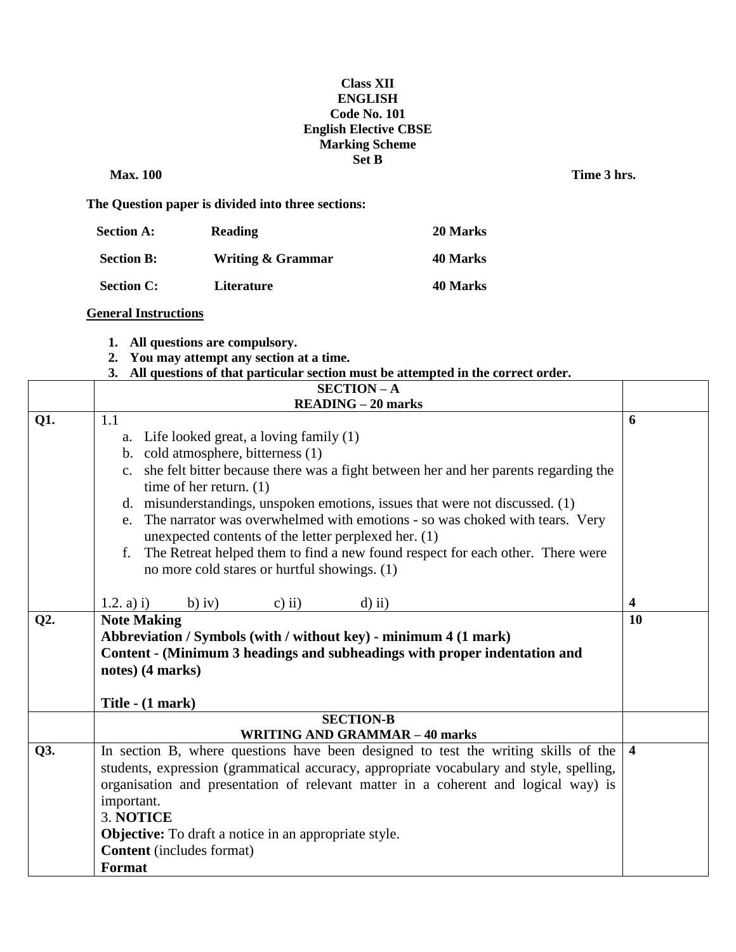## **Class XII ENGLISH Code No. 101 English Elective CBSE Marking Scheme Set B**

**Max. 100** Time 3 hrs.

**The Question paper is divided into three sections:**

| <b>Section A:</b> | <b>Reading</b>    | 20 Marks |
|-------------------|-------------------|----------|
| <b>Section B:</b> | Writing & Grammar | 40 Marks |
| <b>Section C:</b> | <b>Literature</b> | 40 Marks |

## **General Instructions**

- **1. All questions are compulsory.**
- **2. You may attempt any section at a time.**
- **3. All questions of that particular section must be attempted in the correct order.**

|        | <b>SECTION-A</b>                                                                                   |                         |
|--------|----------------------------------------------------------------------------------------------------|-------------------------|
|        | $READING - 20 marks$                                                                               |                         |
| Q1.    | 1.1                                                                                                | 6                       |
|        | a. Life looked great, a loving family (1)                                                          |                         |
|        | b. cold atmosphere, bitterness (1)                                                                 |                         |
|        | she felt bitter because there was a fight between her and her parents regarding the<br>$c_{\cdot}$ |                         |
|        | time of her return. $(1)$                                                                          |                         |
|        | misunderstandings, unspoken emotions, issues that were not discussed. (1)<br>d.                    |                         |
|        | The narrator was overwhelmed with emotions - so was choked with tears. Very<br>e.                  |                         |
|        | unexpected contents of the letter perplexed her. (1)                                               |                         |
|        | The Retreat helped them to find a new found respect for each other. There were<br>f.               |                         |
|        | no more cold stares or hurtful showings. (1)                                                       |                         |
|        |                                                                                                    |                         |
|        | 1.2. a) i)<br>$b)$ iv)<br>c) ii)<br>$d$ ) ii)                                                      | $\overline{\mathbf{4}}$ |
| $Q2$ . | <b>Note Making</b>                                                                                 | <b>10</b>               |
|        | Abbreviation / Symbols (with / without key) - minimum 4 (1 mark)                                   |                         |
|        | Content - (Minimum 3 headings and subheadings with proper indentation and                          |                         |
|        | notes) (4 marks)                                                                                   |                         |
|        |                                                                                                    |                         |
|        | Title - (1 mark)                                                                                   |                         |
|        | <b>SECTION-B</b>                                                                                   |                         |
|        | <b>WRITING AND GRAMMAR - 40 marks</b>                                                              |                         |
| Q3.    | In section B, where questions have been designed to test the writing skills of the                 | $\overline{4}$          |
|        | students, expression (grammatical accuracy, appropriate vocabulary and style, spelling,            |                         |
|        | organisation and presentation of relevant matter in a coherent and logical way) is                 |                         |
|        | important.                                                                                         |                         |
|        | 3. NOTICE                                                                                          |                         |
|        | <b>Objective:</b> To draft a notice in an appropriate style.                                       |                         |
|        | <b>Content</b> (includes format)                                                                   |                         |
|        | Format                                                                                             |                         |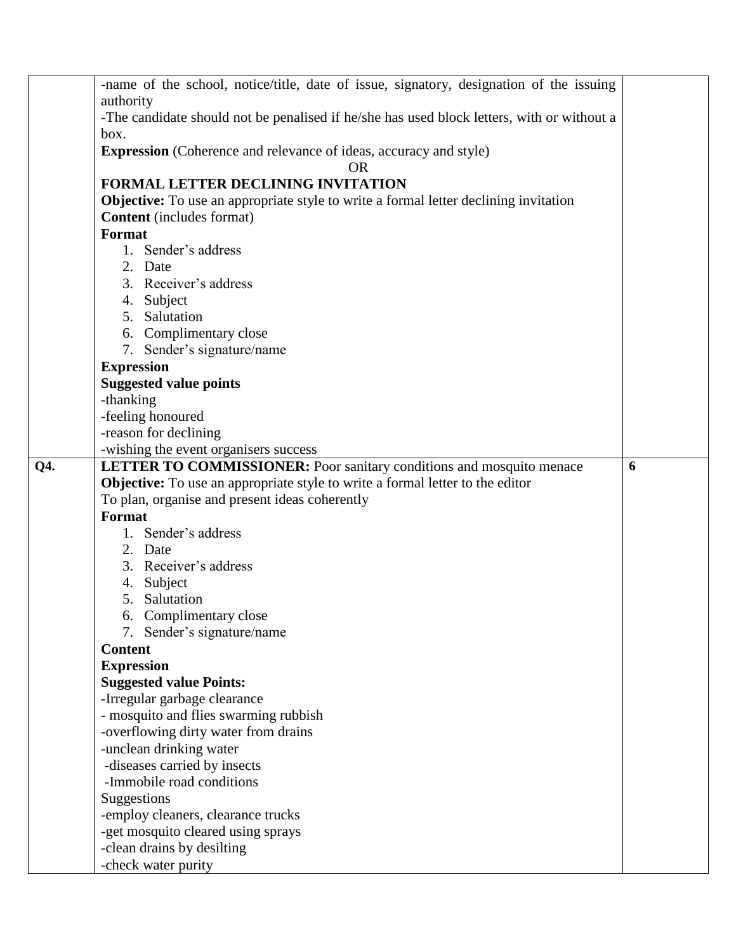|     | -name of the school, notice/title, date of issue, signatory, designation of the issuing     |   |  |
|-----|---------------------------------------------------------------------------------------------|---|--|
|     | authority                                                                                   |   |  |
|     | -The candidate should not be penalised if he/she has used block letters, with or without a  |   |  |
|     | box.                                                                                        |   |  |
|     | <b>Expression</b> (Coherence and relevance of ideas, accuracy and style)                    |   |  |
|     | <b>OR</b>                                                                                   |   |  |
|     | FORMAL LETTER DECLINING INVITATION                                                          |   |  |
|     | <b>Objective:</b> To use an appropriate style to write a formal letter declining invitation |   |  |
|     | <b>Content</b> (includes format)                                                            |   |  |
|     | Format                                                                                      |   |  |
|     | 1. Sender's address                                                                         |   |  |
|     | 2. Date                                                                                     |   |  |
|     | 3. Receiver's address                                                                       |   |  |
|     | 4. Subject                                                                                  |   |  |
|     | 5. Salutation                                                                               |   |  |
|     | 6. Complimentary close                                                                      |   |  |
|     | 7. Sender's signature/name                                                                  |   |  |
|     | <b>Expression</b>                                                                           |   |  |
|     | <b>Suggested value points</b>                                                               |   |  |
|     | -thanking                                                                                   |   |  |
|     | -feeling honoured                                                                           |   |  |
|     | -reason for declining                                                                       |   |  |
|     | -wishing the event organisers success                                                       |   |  |
| Q4. | <b>LETTER TO COMMISSIONER:</b> Poor sanitary conditions and mosquito menace                 | 6 |  |
|     | <b>Objective:</b> To use an appropriate style to write a formal letter to the editor        |   |  |
|     | To plan, organise and present ideas coherently                                              |   |  |
|     | Format                                                                                      |   |  |
|     | 1. Sender's address                                                                         |   |  |
|     | 2. Date                                                                                     |   |  |
|     | 3. Receiver's address                                                                       |   |  |
|     | 4. Subject                                                                                  |   |  |
|     | 5. Salutation                                                                               |   |  |
|     | 6. Complimentary close                                                                      |   |  |
|     | 7. Sender's signature/name                                                                  |   |  |
|     | <b>Content</b>                                                                              |   |  |
|     | <b>Expression</b>                                                                           |   |  |
|     | <b>Suggested value Points:</b>                                                              |   |  |
|     | -Irregular garbage clearance                                                                |   |  |
|     | - mosquito and flies swarming rubbish                                                       |   |  |
|     | -overflowing dirty water from drains                                                        |   |  |
|     | -unclean drinking water                                                                     |   |  |
|     | -diseases carried by insects<br>-Immobile road conditions                                   |   |  |
|     |                                                                                             |   |  |
|     | Suggestions                                                                                 |   |  |
|     | -employ cleaners, clearance trucks                                                          |   |  |
|     | -get mosquito cleared using sprays                                                          |   |  |
|     | -clean drains by desilting                                                                  |   |  |
|     | -check water purity                                                                         |   |  |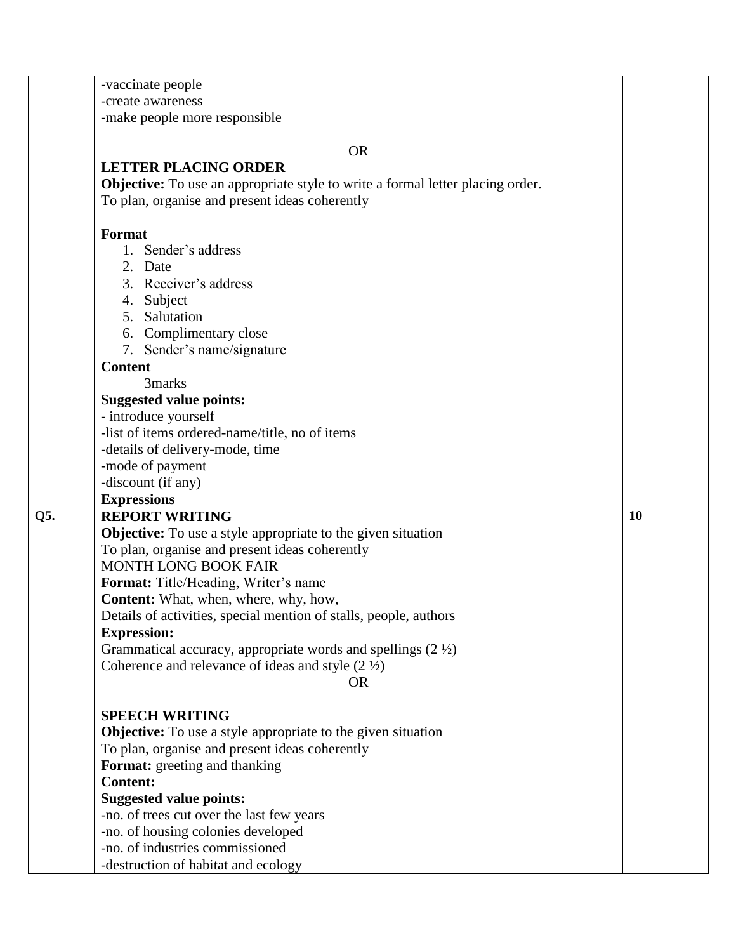|     | -vaccinate people                                                              |    |
|-----|--------------------------------------------------------------------------------|----|
|     | -create awareness                                                              |    |
|     | -make people more responsible                                                  |    |
|     |                                                                                |    |
|     | <b>OR</b>                                                                      |    |
|     | <b>LETTER PLACING ORDER</b>                                                    |    |
|     | Objective: To use an appropriate style to write a formal letter placing order. |    |
|     | To plan, organise and present ideas coherently                                 |    |
|     | <b>Format</b>                                                                  |    |
|     | 1. Sender's address                                                            |    |
|     | 2. Date                                                                        |    |
|     | 3. Receiver's address                                                          |    |
|     | 4. Subject                                                                     |    |
|     | 5. Salutation                                                                  |    |
|     | 6. Complimentary close                                                         |    |
|     | 7. Sender's name/signature                                                     |    |
|     | <b>Content</b>                                                                 |    |
|     | 3marks                                                                         |    |
|     | <b>Suggested value points:</b>                                                 |    |
|     | - introduce yourself                                                           |    |
|     | -list of items ordered-name/title, no of items                                 |    |
|     | -details of delivery-mode, time                                                |    |
|     | -mode of payment                                                               |    |
|     | -discount (if any)                                                             |    |
|     | <b>Expressions</b>                                                             |    |
| Q5. | <b>REPORT WRITING</b>                                                          | 10 |
|     | <b>Objective:</b> To use a style appropriate to the given situation            |    |
|     | To plan, organise and present ideas coherently                                 |    |
|     | <b>MONTH LONG BOOK FAIR</b>                                                    |    |
|     | Format: Title/Heading, Writer's name                                           |    |
|     | <b>Content:</b> What, when, where, why, how,                                   |    |
|     | Details of activities, special mention of stalls, people, authors              |    |
|     | <b>Expression:</b>                                                             |    |
|     | Grammatical accuracy, appropriate words and spellings $(2 \frac{1}{2})$        |    |
|     | Coherence and relevance of ideas and style $(2 \frac{1}{2})$                   |    |
|     | <b>OR</b>                                                                      |    |
|     | <b>SPEECH WRITING</b>                                                          |    |
|     | <b>Objective:</b> To use a style appropriate to the given situation            |    |
|     | To plan, organise and present ideas coherently                                 |    |
|     | Format: greeting and thanking                                                  |    |
|     | <b>Content:</b>                                                                |    |
|     | <b>Suggested value points:</b>                                                 |    |
|     | -no. of trees cut over the last few years                                      |    |
|     | -no. of housing colonies developed                                             |    |
|     | -no. of industries commissioned                                                |    |
|     |                                                                                |    |
|     | -destruction of habitat and ecology                                            |    |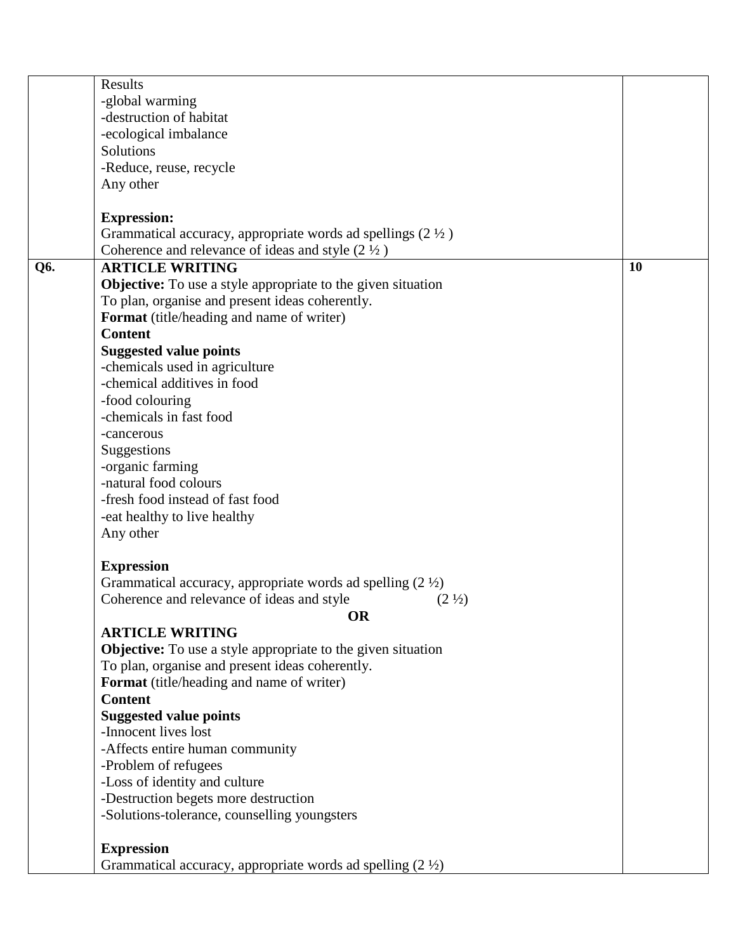| -global warming<br>-destruction of habitat<br>-ecological imbalance<br>Solutions<br>-Reduce, reuse, recycle<br>Any other<br><b>Expression:</b> |
|------------------------------------------------------------------------------------------------------------------------------------------------|
|                                                                                                                                                |
|                                                                                                                                                |
|                                                                                                                                                |
|                                                                                                                                                |
|                                                                                                                                                |
|                                                                                                                                                |
|                                                                                                                                                |
|                                                                                                                                                |
| Grammatical accuracy, appropriate words ad spellings $(2 \frac{1}{2})$                                                                         |
| Coherence and relevance of ideas and style $(2 \frac{1}{2})$                                                                                   |
| <b>ARTICLE WRITING</b><br>10<br>Q6.                                                                                                            |
| <b>Objective:</b> To use a style appropriate to the given situation                                                                            |
| To plan, organise and present ideas coherently.                                                                                                |
| Format (title/heading and name of writer)                                                                                                      |
| <b>Content</b>                                                                                                                                 |
| <b>Suggested value points</b>                                                                                                                  |
| -chemicals used in agriculture                                                                                                                 |
| -chemical additives in food                                                                                                                    |
| -food colouring                                                                                                                                |
| -chemicals in fast food                                                                                                                        |
| -cancerous                                                                                                                                     |
| Suggestions                                                                                                                                    |
| -organic farming                                                                                                                               |
| -natural food colours                                                                                                                          |
| -fresh food instead of fast food                                                                                                               |
| -eat healthy to live healthy                                                                                                                   |
| Any other                                                                                                                                      |
|                                                                                                                                                |
| <b>Expression</b>                                                                                                                              |
| Grammatical accuracy, appropriate words ad spelling $(2 \frac{1}{2})$                                                                          |
| Coherence and relevance of ideas and style<br>$(2 \frac{1}{2})$                                                                                |
| OR                                                                                                                                             |
| <b>ARTICLE WRITING</b>                                                                                                                         |
| <b>Objective:</b> To use a style appropriate to the given situation                                                                            |
| To plan, organise and present ideas coherently.                                                                                                |
| Format (title/heading and name of writer)                                                                                                      |
| <b>Content</b>                                                                                                                                 |
| <b>Suggested value points</b>                                                                                                                  |
| -Innocent lives lost                                                                                                                           |
| -Affects entire human community                                                                                                                |
| -Problem of refugees                                                                                                                           |
| -Loss of identity and culture                                                                                                                  |
| -Destruction begets more destruction                                                                                                           |
| -Solutions-tolerance, counselling youngsters                                                                                                   |
|                                                                                                                                                |
| <b>Expression</b>                                                                                                                              |
| Grammatical accuracy, appropriate words ad spelling $(2 \frac{1}{2})$                                                                          |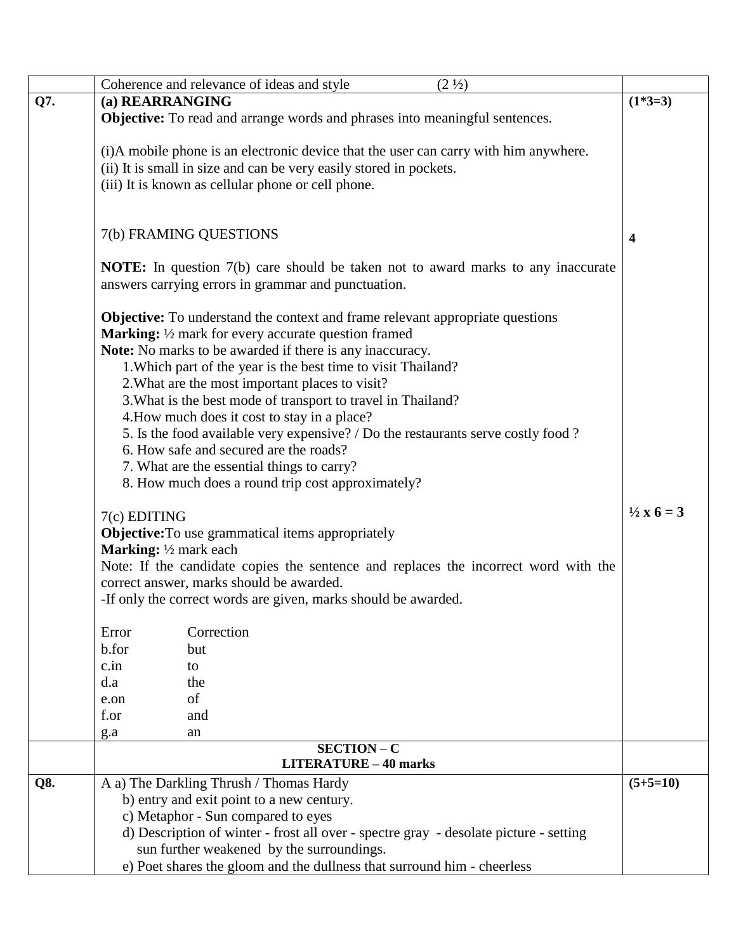|     | Coherence and relevance of ideas and style<br>$(2 \frac{1}{2})$                         |                     |
|-----|-----------------------------------------------------------------------------------------|---------------------|
| Q7. | (a) REARRANGING                                                                         | $(1*3=3)$           |
|     | <b>Objective:</b> To read and arrange words and phrases into meaningful sentences.      |                     |
|     |                                                                                         |                     |
|     | (i)A mobile phone is an electronic device that the user can carry with him anywhere.    |                     |
|     | (ii) It is small in size and can be very easily stored in pockets.                      |                     |
|     |                                                                                         |                     |
|     | (iii) It is known as cellular phone or cell phone.                                      |                     |
|     |                                                                                         |                     |
|     |                                                                                         |                     |
|     | 7(b) FRAMING QUESTIONS                                                                  | 4                   |
|     |                                                                                         |                     |
|     | <b>NOTE:</b> In question 7(b) care should be taken not to award marks to any inaccurate |                     |
|     | answers carrying errors in grammar and punctuation.                                     |                     |
|     |                                                                                         |                     |
|     | <b>Objective:</b> To understand the context and frame relevant appropriate questions    |                     |
|     | <b>Marking:</b> $\frac{1}{2}$ mark for every accurate question framed                   |                     |
|     | Note: No marks to be awarded if there is any inaccuracy.                                |                     |
|     | 1. Which part of the year is the best time to visit Thailand?                           |                     |
|     | 2. What are the most important places to visit?                                         |                     |
|     | 3. What is the best mode of transport to travel in Thailand?                            |                     |
|     | 4. How much does it cost to stay in a place?                                            |                     |
|     | 5. Is the food available very expensive? / Do the restaurants serve costly food?        |                     |
|     | 6. How safe and secured are the roads?                                                  |                     |
|     |                                                                                         |                     |
|     | 7. What are the essential things to carry?                                              |                     |
|     | 8. How much does a round trip cost approximately?                                       |                     |
|     |                                                                                         | $\frac{1}{2}x6 = 3$ |
|     | 7(c) EDITING                                                                            |                     |
|     | <b>Objective:</b> To use grammatical items appropriately                                |                     |
|     | <b>Marking:</b> $\frac{1}{2}$ mark each                                                 |                     |
|     | Note: If the candidate copies the sentence and replaces the incorrect word with the     |                     |
|     | correct answer, marks should be awarded.                                                |                     |
|     | -If only the correct words are given, marks should be awarded.                          |                     |
|     |                                                                                         |                     |
|     | Correction<br>Error                                                                     |                     |
|     | b.for<br>but                                                                            |                     |
|     | c.in<br>to                                                                              |                     |
|     | d.a<br>the                                                                              |                     |
|     | of<br>e.on                                                                              |                     |
|     | f.or<br>and                                                                             |                     |
|     | g.a<br>an                                                                               |                     |
|     | <b>SECTION - C</b><br><b>LITERATURE - 40 marks</b>                                      |                     |
|     |                                                                                         |                     |
| Q8. | A a) The Darkling Thrush / Thomas Hardy                                                 | $(5+5=10)$          |
|     | b) entry and exit point to a new century.                                               |                     |
|     | c) Metaphor - Sun compared to eyes                                                      |                     |
|     | d) Description of winter - frost all over - spectre gray - desolate picture - setting   |                     |
|     | sun further weakened by the surroundings.                                               |                     |
|     | e) Poet shares the gloom and the dullness that surround him - cheerless                 |                     |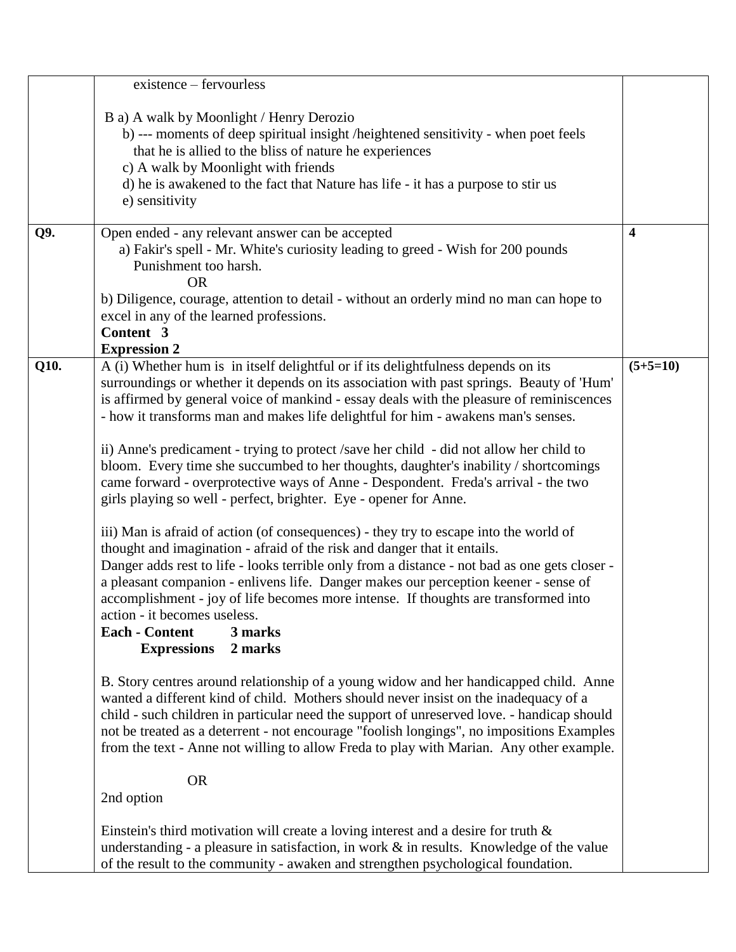|      | existence – fervourless                                                                                                                                                                                                                                                                                                                                                                                                                                                                                                                                                                                                                                                                                                                                                                                                                                                                                                                                                                                                                                                                                                                                                                                                                                               |                         |
|------|-----------------------------------------------------------------------------------------------------------------------------------------------------------------------------------------------------------------------------------------------------------------------------------------------------------------------------------------------------------------------------------------------------------------------------------------------------------------------------------------------------------------------------------------------------------------------------------------------------------------------------------------------------------------------------------------------------------------------------------------------------------------------------------------------------------------------------------------------------------------------------------------------------------------------------------------------------------------------------------------------------------------------------------------------------------------------------------------------------------------------------------------------------------------------------------------------------------------------------------------------------------------------|-------------------------|
|      | B a) A walk by Moonlight / Henry Derozio<br>b) --- moments of deep spiritual insight /heightened sensitivity - when poet feels<br>that he is allied to the bliss of nature he experiences<br>c) A walk by Moonlight with friends<br>d) he is awakened to the fact that Nature has life - it has a purpose to stir us<br>e) sensitivity                                                                                                                                                                                                                                                                                                                                                                                                                                                                                                                                                                                                                                                                                                                                                                                                                                                                                                                                |                         |
| Q9.  | Open ended - any relevant answer can be accepted<br>a) Fakir's spell - Mr. White's curiosity leading to greed - Wish for 200 pounds<br>Punishment too harsh.<br><b>OR</b><br>b) Diligence, courage, attention to detail - without an orderly mind no man can hope to                                                                                                                                                                                                                                                                                                                                                                                                                                                                                                                                                                                                                                                                                                                                                                                                                                                                                                                                                                                                  | $\overline{\mathbf{4}}$ |
|      | excel in any of the learned professions.<br>Content 3<br><b>Expression 2</b>                                                                                                                                                                                                                                                                                                                                                                                                                                                                                                                                                                                                                                                                                                                                                                                                                                                                                                                                                                                                                                                                                                                                                                                          |                         |
| Q10. | A (i) Whether hum is in itself delightful or if its delightfulness depends on its<br>surroundings or whether it depends on its association with past springs. Beauty of 'Hum'<br>is affirmed by general voice of mankind - essay deals with the pleasure of reminiscences<br>- how it transforms man and makes life delightful for him - awakens man's senses.<br>ii) Anne's predicament - trying to protect /save her child - did not allow her child to<br>bloom. Every time she succumbed to her thoughts, daughter's inability / shortcomings<br>came forward - overprotective ways of Anne - Despondent. Freda's arrival - the two<br>girls playing so well - perfect, brighter. Eye - opener for Anne.<br>iii) Man is afraid of action (of consequences) - they try to escape into the world of<br>thought and imagination - afraid of the risk and danger that it entails.<br>Danger adds rest to life - looks terrible only from a distance - not bad as one gets closer -<br>a pleasant companion - enlivens life. Danger makes our perception keener - sense of<br>accomplishment - joy of life becomes more intense. If thoughts are transformed into<br>action - it becomes useless.<br><b>Each - Content</b><br>3 marks<br><b>Expressions</b><br>2 marks | $(5+5=10)$              |
|      | B. Story centres around relationship of a young widow and her handicapped child. Anne<br>wanted a different kind of child. Mothers should never insist on the inadequacy of a<br>child - such children in particular need the support of unreserved love. - handicap should<br>not be treated as a deterrent - not encourage "foolish longings", no impositions Examples<br>from the text - Anne not willing to allow Freda to play with Marian. Any other example.                                                                                                                                                                                                                                                                                                                                                                                                                                                                                                                                                                                                                                                                                                                                                                                                   |                         |
|      | <b>OR</b><br>2nd option                                                                                                                                                                                                                                                                                                                                                                                                                                                                                                                                                                                                                                                                                                                                                                                                                                                                                                                                                                                                                                                                                                                                                                                                                                               |                         |
|      | Einstein's third motivation will create a loving interest and a desire for truth $\&$<br>understanding - a pleasure in satisfaction, in work $\&$ in results. Knowledge of the value<br>of the result to the community - awaken and strengthen psychological foundation.                                                                                                                                                                                                                                                                                                                                                                                                                                                                                                                                                                                                                                                                                                                                                                                                                                                                                                                                                                                              |                         |